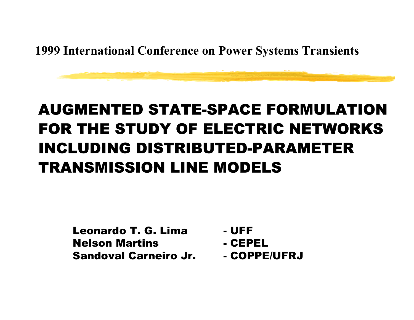**1999 International Conference on Power Systems Transients**

#### AUGMENTED STATE-SPACE FORMULATION FOR THE STUDY OF ELECTRIC NETWORKSINCLUDING DISTRIBUTED-PARAMETER TRANSMISSION LINE MODELS

Leonardo T. G. LimaNelson MartinsSandoval Carneiro Jr.

- -UFF
- -CEPEL
- COPPE/UFRJ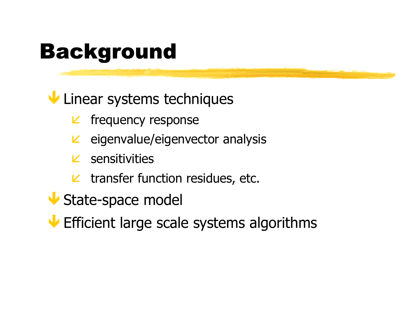# Background

**V** Linear systems techniques

- $L$  frequency response
- $\epsilon$  eigenvalue/eigenvector analysis
- **sensitivities**
- $\mathcal{L}$  transfer function residues, etc.
- State-space model
- **V** Efficient large scale systems algorithms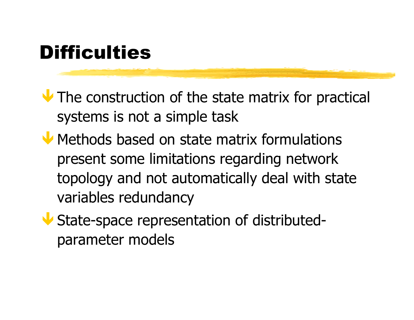# **Difficulties**

 $\blacktriangleright$  The construction of the state matrix for practical systems is not a simple task

Methods based on state matrix formulations present some limitations regarding network topology and not automatically deal with state variables redundancy

Ð State-space representation of distributedparameter models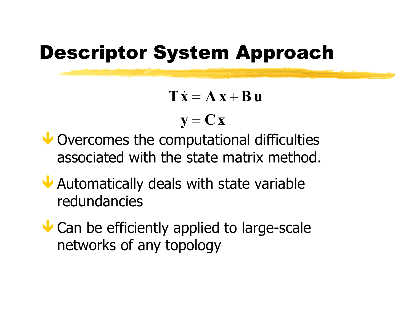### Descriptor System Approach

 $\mathbf{T}\dot{\mathbf{x}}=\mathbf{A}\mathbf{x}+\mathbf{B}\mathbf{u}$  $\mathbf{y} = \mathbf{C}\mathbf{x}$  $\mathbf{x}=\mathbf{A}\mathbf{x}+$ 

- U Overcomes the computational difficulties associated with the state matrix method.
- Ð Automatically deals with state variable redundancies
- Can be efficiently applied to large-scale networks of any topology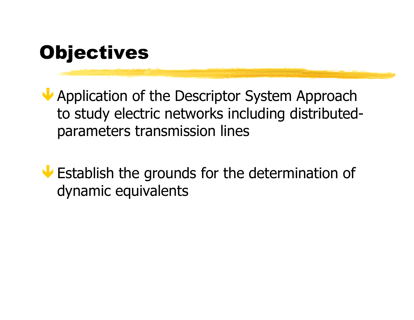# **Objectives**

Application of the Descriptor System Approach to study electric networks including distributedparameters transmission lines

Ð Establish the grounds for the determination of dynamic equivalents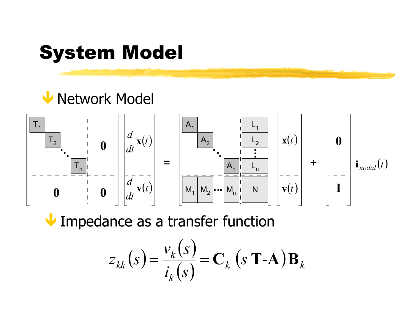# System Model

#### Ð Network Model



**V** Impedance as a transfer function

$$
z_{kk}(s) = \frac{v_k(s)}{i_k(s)} = \mathbf{C}_k \left( s \mathbf{T} \cdot \mathbf{A} \right) \mathbf{B}_k
$$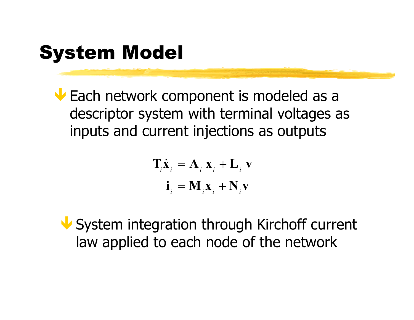# System Model

**V** Each network component is modeled as a descriptor system with terminal voltages as inputs and current injections as outputs

$$
\mathbf{T}_i \dot{\mathbf{x}}_i = \mathbf{A}_i \mathbf{x}_i + \mathbf{L}_i \mathbf{v}
$$

$$
\mathbf{i}_i = \mathbf{M}_i \mathbf{x}_i + \mathbf{N}_i \mathbf{v}
$$

Ð System integration through Kirchoff current law applied to each node of the network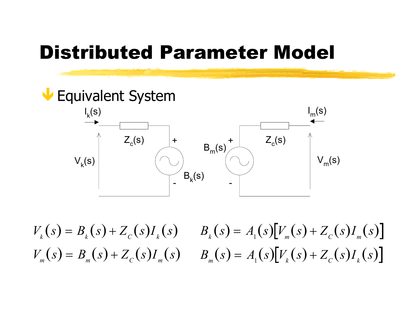### Distributed Parameter Model



 $V_k(s) = B_k(s) + Z_c(s)I_k(s)$  $V_m(s) = B_m(s) + Z_c(s)I_m(s)$  $= B$ , (s) +  $B_m(s) + Z_c(s)I_m(s)$   $B_m(s) = A_1(s)[V_k(s) + Z_c(s)I_k(s)]$  $B_{k}(s) = A_{1}(s)[V_{m}(s) + Z_{c}(s)I_{m}(s)]$  $= A_1(s)[V_m(s)] +$  $= A_1(s)[V_{k}(s)] +$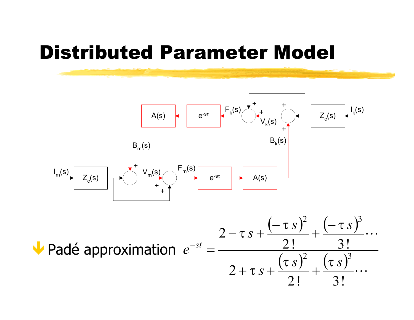#### Distributed Parameter Model



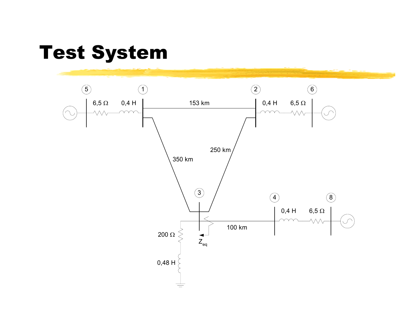#### Test System

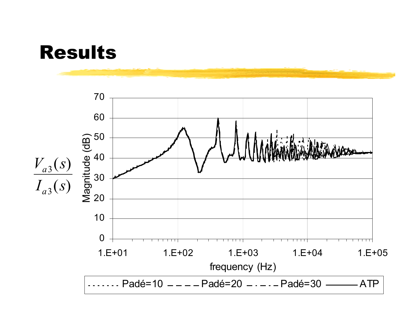

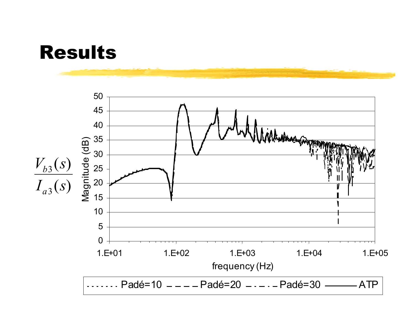

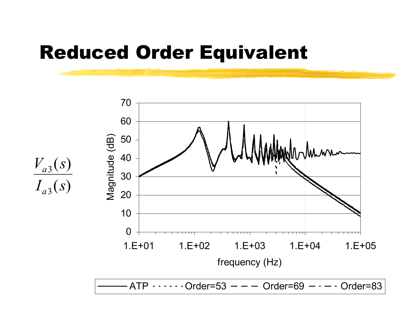#### Reduced Order Equivalent



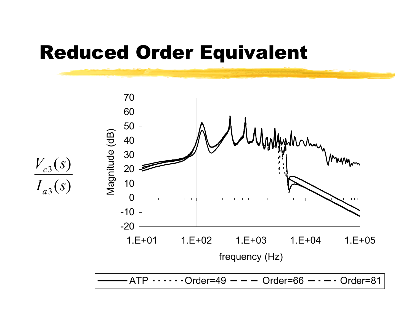#### Reduced Order Equivalent

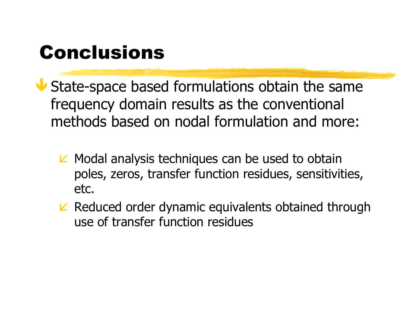# Conclusions

Ð State-space based formulations obtain the same frequency domain results as the conventional methods based on nodal formulation and more:

- $\triangleright$  Modal analysis techniques can be used to obtain poles, zeros, transfer function residues, sensitivities, etc.
- $\kappa$  Reduced order dynamic equivalents obtained through use of transfer function residues